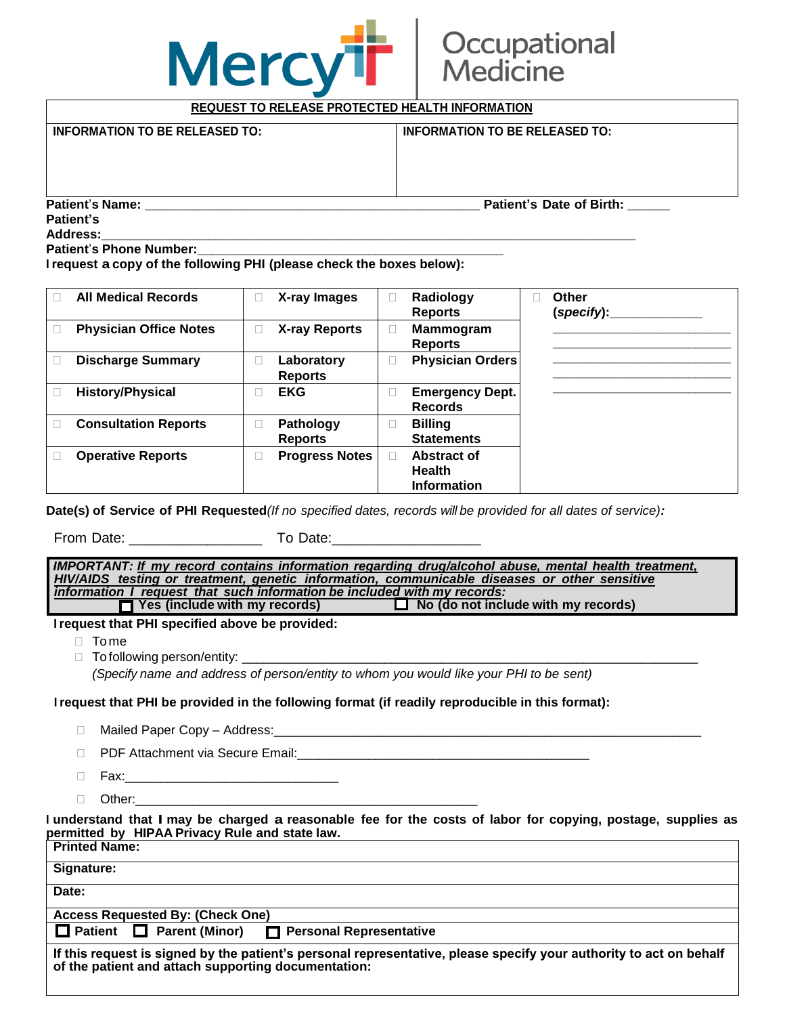## **Mercy**

## Occupational ledicine

**REQUEST TO RELEASE PROTECTED HEALTH INFORMATION INFORMATION TO BE RELEASED TO: INFORMATION TO BE RELEASED TO: Patient**'**s Name: \_\_\_\_\_\_\_\_\_\_\_\_\_\_\_\_\_\_\_\_\_\_\_\_\_\_\_\_\_\_\_\_\_\_\_\_\_\_\_\_\_\_\_\_\_\_\_ Patient's Date of Birth: \_\_\_\_\_\_ Patient's Address:\_\_\_\_\_\_\_\_\_\_\_\_\_\_\_\_\_\_\_\_\_\_\_\_\_\_\_\_\_\_\_\_\_\_\_\_\_\_\_\_\_\_\_\_\_\_\_\_\_\_\_\_\_\_\_\_\_\_\_\_\_\_\_\_\_\_\_\_\_\_\_\_\_\_\_**

**Patient**'**s Phone Number:\_\_\_\_\_\_\_\_\_\_\_\_\_\_\_\_\_\_\_\_\_\_\_\_\_\_\_\_\_\_\_\_\_\_\_\_\_\_\_\_\_\_\_**

**I request a copy of the following PHI (please check the boxes below):**

| <b>All Medical Records</b>    | X-ray Images                 | Radiology<br><b>Reports</b>              | Other<br>$(specify)$ : |
|-------------------------------|------------------------------|------------------------------------------|------------------------|
| <b>Physician Office Notes</b> | <b>X-ray Reports</b>         | <b>Mammogram</b><br><b>Reports</b>       |                        |
| <b>Discharge Summary</b>      | Laboratory<br><b>Reports</b> | <b>Physician Orders</b>                  |                        |
| <b>History/Physical</b>       | <b>EKG</b>                   | <b>Emergency Dept.</b><br><b>Records</b> |                        |
| <b>Consultation Reports</b>   | Pathology                    | <b>Billing</b>                           |                        |
|                               | <b>Reports</b>               | <b>Statements</b>                        |                        |
| <b>Operative Reports</b>      | <b>Progress Notes</b>        | Abstract of                              |                        |
|                               |                              | <b>Health</b>                            |                        |
|                               |                              | <b>Information</b>                       |                        |

Date(s) of Service of PHI Requested (If no specified dates, records will be provided for all dates of service):

From Date: \_\_\_\_\_\_\_\_\_\_\_\_\_\_\_\_\_ To Date:\_\_\_\_\_\_\_\_\_\_\_\_\_\_\_\_\_\_\_

*IMPORTANT: If my record contains information regarding drug/alcohol abuse, mental health treatment, HIV/AIDS testing or treatment, genetic information, communicable diseases or other sensitive information I request that such information be included with my records:*  **T** Yes (include with my records)

**I request that PHI specified above be provided:**

□ Tome

 $\Box$  To following person/entity:

*(Specify name and address of person/entity to whom you would like your PHI to be sent)*

## **I request that PHI be provided in the following format (if readily reproducible in this format):**

- □ Mailed Paper Copy Address:
- D PDF Attachment via Secure Email:
- Fax:\_\_\_\_\_\_\_\_\_\_\_\_\_\_\_\_\_\_\_\_\_\_\_\_\_\_\_\_\_\_
- $\Box$  Other:

I understand that I may be charged a reasonable fee for the costs of labor for copying, postage, supplies as **permitted by HIPAA Privacy Rule and state law.**

| <b>Printed Name:</b>                                                                                                                                                      |  |  |  |  |  |
|---------------------------------------------------------------------------------------------------------------------------------------------------------------------------|--|--|--|--|--|
| <b>Signature:</b>                                                                                                                                                         |  |  |  |  |  |
| Date:                                                                                                                                                                     |  |  |  |  |  |
| <b>Access Requested By: (Check One)</b>                                                                                                                                   |  |  |  |  |  |
| □ Patient □ Parent (Minor) □ Personal Representative                                                                                                                      |  |  |  |  |  |
| If this request is signed by the patient's personal representative, please specify your authority to act on behalf<br>of the patient and attach supporting documentation: |  |  |  |  |  |